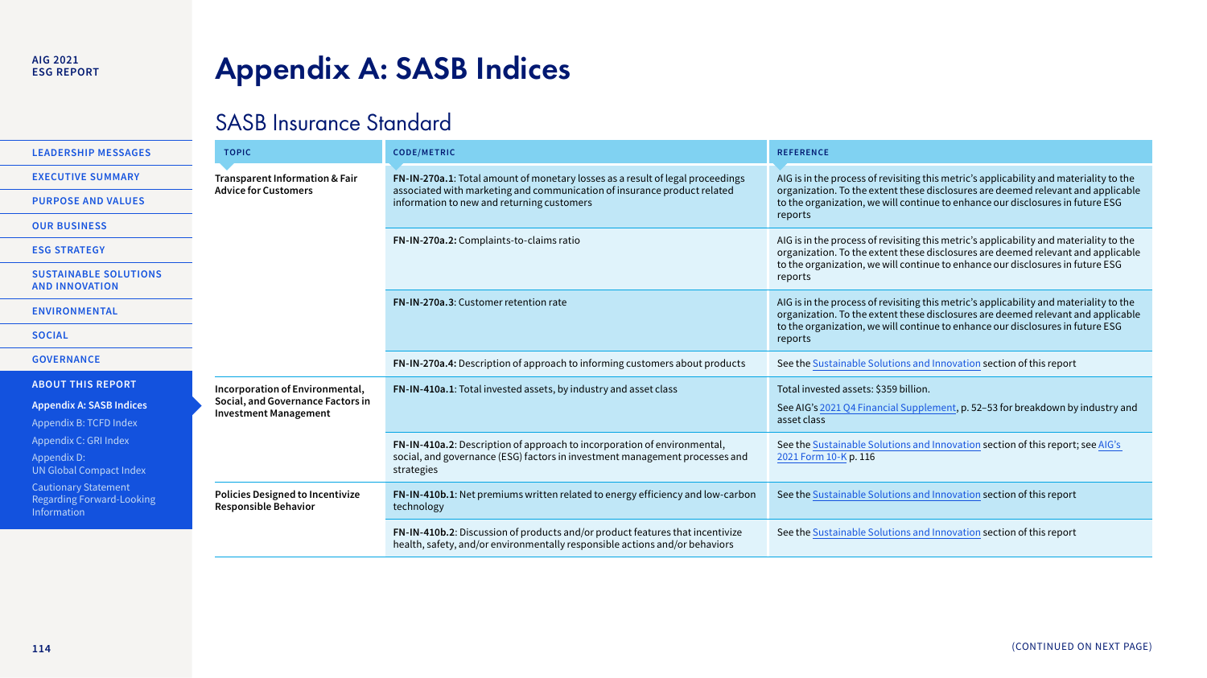# <span id="page-0-0"></span>**Appendix A: SASB Indices**

### SASB Insurance Standard

| <b>LEADERSHIP MESSAGES</b>                                              | <b>TOPIC</b>                                                           | <b>CODE/METRIC</b>                                                                                                                                           | <b>REFERENCE</b>                                                                                                                                                                                                                                             |
|-------------------------------------------------------------------------|------------------------------------------------------------------------|--------------------------------------------------------------------------------------------------------------------------------------------------------------|--------------------------------------------------------------------------------------------------------------------------------------------------------------------------------------------------------------------------------------------------------------|
| <b>EXECUTIVE SUMMARY</b>                                                | Transparent Information & Fair<br><b>Advice for Customers</b>          | FN-IN-270a.1: Total amount of monetary losses as a result of legal proceedings                                                                               | AIG is in the process of revisiting this metric's applicability and materiality to the                                                                                                                                                                       |
| <b>PURPOSE AND VALUES</b>                                               |                                                                        | associated with marketing and communication of insurance product related<br>information to new and returning customers                                       | organization. To the extent these disclosures are deemed relevant and applicable<br>to the organization, we will continue to enhance our disclosures in future ESG                                                                                           |
| <b>OUR BUSINESS</b>                                                     |                                                                        |                                                                                                                                                              | reports                                                                                                                                                                                                                                                      |
| <b>ESG STRATEGY</b>                                                     |                                                                        | FN-IN-270a.2: Complaints-to-claims ratio                                                                                                                     | AIG is in the process of revisiting this metric's applicability and materiality to the<br>organization. To the extent these disclosures are deemed relevant and applicable<br>to the organization, we will continue to enhance our disclosures in future ESG |
| <b>SUSTAINABLE SOLUTIONS</b><br><b>AND INNOVATION</b>                   |                                                                        |                                                                                                                                                              | reports                                                                                                                                                                                                                                                      |
| <b>ENVIRONMENTAL</b>                                                    |                                                                        | FN-IN-270a.3: Customer retention rate                                                                                                                        | AIG is in the process of revisiting this metric's applicability and materiality to the                                                                                                                                                                       |
|                                                                         |                                                                        |                                                                                                                                                              | organization. To the extent these disclosures are deemed relevant and applicable<br>to the organization, we will continue to enhance our disclosures in future ESG                                                                                           |
| <b>SOCIAL</b>                                                           |                                                                        |                                                                                                                                                              | reports                                                                                                                                                                                                                                                      |
| <b>GOVERNANCE</b>                                                       |                                                                        | FN-IN-270a.4: Description of approach to informing customers about products                                                                                  | See the Sustainable Solutions and Innovation section of this report                                                                                                                                                                                          |
| <b>ABOUT THIS REPORT</b>                                                | Incorporation of Environmental,                                        | FN-IN-410a.1: Total invested assets, by industry and asset class                                                                                             | Total invested assets: \$359 billion.                                                                                                                                                                                                                        |
| <b>Appendix A: SASB Indices</b>                                         | Social, and Governance Factors in<br><b>Investment Management</b>      |                                                                                                                                                              | See AIG's 2021 Q4 Financial Supplement, p. 52-53 for breakdown by industry and                                                                                                                                                                               |
| Appendix B: TCFD Index                                                  |                                                                        |                                                                                                                                                              | asset class                                                                                                                                                                                                                                                  |
| Appendix C: GRI Index                                                   |                                                                        | FN-IN-410a.2: Description of approach to incorporation of environmental,                                                                                     | See the Sustainable Solutions and Innovation section of this report; see AIG's                                                                                                                                                                               |
| Appendix D:<br>UN Global Compact Index                                  |                                                                        | social, and governance (ESG) factors in investment management processes and<br>strategies                                                                    | 2021 Form 10-K p. 116                                                                                                                                                                                                                                        |
| <b>Cautionary Statement</b><br>Regarding Forward-Looking<br>Information | <b>Policies Designed to Incentivize</b><br><b>Responsible Behavior</b> | FN-IN-410b.1: Net premiums written related to energy efficiency and low-carbon<br>technology                                                                 | See the Sustainable Solutions and Innovation section of this report                                                                                                                                                                                          |
|                                                                         |                                                                        | FN-IN-410b.2: Discussion of products and/or product features that incentivize<br>health, safety, and/or environmentally responsible actions and/or behaviors | See the Sustainable Solutions and Innovation section of this report                                                                                                                                                                                          |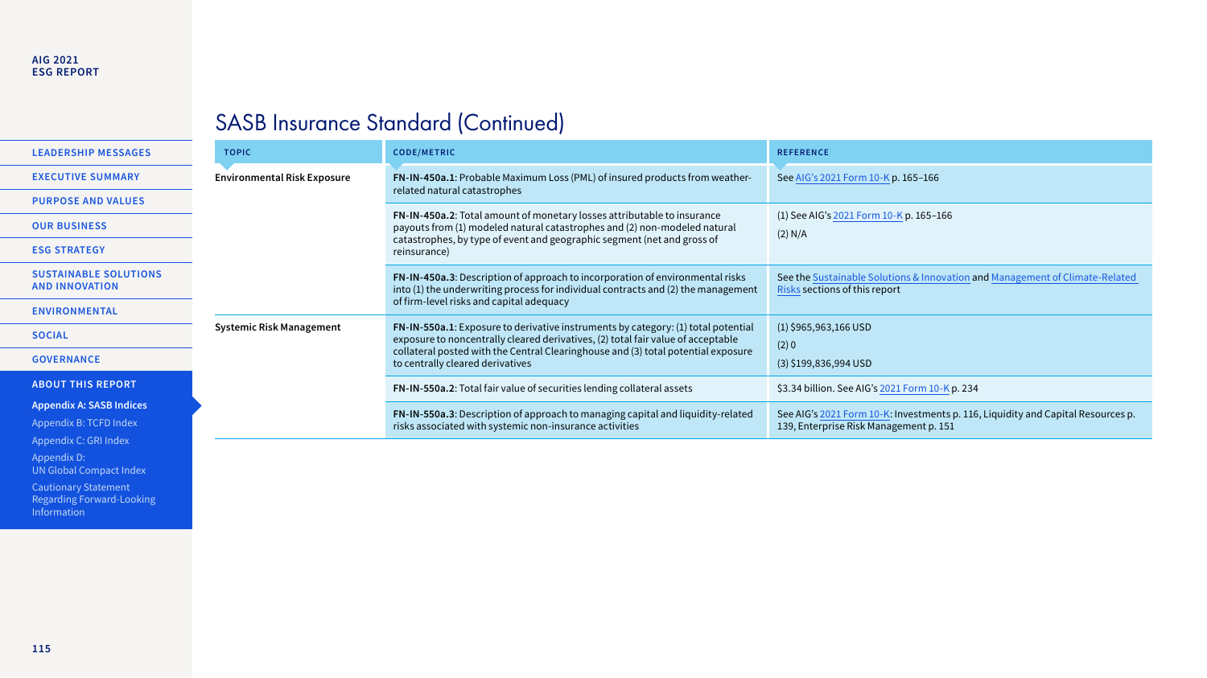#### **AIG 2021 ESG REPORT**

### SASB Insurance Standard (Continued)

|                                                                                    | <b>LEADERSHIP MESSAGES</b>                            | <b>TOPIC</b>                                                                                                                               | <b>CODE/METRIC</b>                                                                                                                                                                                                                                                                             | <b>REFERENCE</b>                                                                                              |
|------------------------------------------------------------------------------------|-------------------------------------------------------|--------------------------------------------------------------------------------------------------------------------------------------------|------------------------------------------------------------------------------------------------------------------------------------------------------------------------------------------------------------------------------------------------------------------------------------------------|---------------------------------------------------------------------------------------------------------------|
|                                                                                    | <b>EXECUTIVE SUMMARY</b>                              | <b>Environmental Risk Exposure</b>                                                                                                         | FN-IN-450a.1: Probable Maximum Loss (PML) of insured products from weather-<br>related natural catastrophes                                                                                                                                                                                    | See AIG's 2021 Form 10-K p. 165-166                                                                           |
|                                                                                    | <b>PURPOSE AND VALUES</b>                             |                                                                                                                                            |                                                                                                                                                                                                                                                                                                |                                                                                                               |
|                                                                                    | <b>OUR BUSINESS</b>                                   |                                                                                                                                            | FN-IN-450a.2: Total amount of monetary losses attributable to insurance<br>payouts from (1) modeled natural catastrophes and (2) non-modeled natural<br>catastrophes, by type of event and geographic segment (net and gross of<br>reinsurance)                                                | (1) See AIG's 2021 Form 10-K p. 165-166<br>(2) N/A                                                            |
|                                                                                    | <b>ESG STRATEGY</b>                                   |                                                                                                                                            |                                                                                                                                                                                                                                                                                                |                                                                                                               |
|                                                                                    | <b>SUSTAINABLE SOLUTIONS</b><br><b>AND INNOVATION</b> |                                                                                                                                            | FN-IN-450a.3: Description of approach to incorporation of environmental risks<br>into (1) the underwriting process for individual contracts and (2) the management                                                                                                                             | See the Sustainable Solutions & Innovation and Management of Climate-Related<br>Risks sections of this report |
|                                                                                    | <b>ENVIRONMENTAL</b>                                  |                                                                                                                                            | of firm-level risks and capital adequacy                                                                                                                                                                                                                                                       |                                                                                                               |
|                                                                                    | <b>SOCIAL</b>                                         | <b>Systemic Risk Management</b>                                                                                                            | FN-IN-550a.1: Exposure to derivative instruments by category: (1) total potential<br>exposure to noncentrally cleared derivatives, (2) total fair value of acceptable<br>collateral posted with the Central Clearinghouse and (3) total potential exposure<br>to centrally cleared derivatives | $(1)$ \$965,963,166 USD<br>$(2)$ 0                                                                            |
|                                                                                    | <b>GOVERNANCE</b>                                     |                                                                                                                                            |                                                                                                                                                                                                                                                                                                | $(3)$ \$199,836,994 USD                                                                                       |
|                                                                                    | <b>ABOUT THIS REPORT</b>                              | FN-IN-550a.2: Total fair value of securities lending collateral assets                                                                     | \$3.34 billion. See AIG's 2021 Form 10-K p. 234                                                                                                                                                                                                                                                |                                                                                                               |
| <b>Appendix A: SASB Indices</b><br>Appendix B: TCFD Index<br>Appendix C: GRI Index |                                                       | FN-IN-550a.3: Description of approach to managing capital and liquidity-related<br>risks associated with systemic non-insurance activities | See AIG's 2021 Form 10-K: Investments p. 116, Liquidity and Capital Resources p.<br>139, Enterprise Risk Management p. 151                                                                                                                                                                     |                                                                                                               |
|                                                                                    |                                                       |                                                                                                                                            |                                                                                                                                                                                                                                                                                                |                                                                                                               |

Appendix D: [UN Global Compact Index](#page--1-0)

Cautionary Statement [Regarding Forward-Looking](#page--1-0)  Information